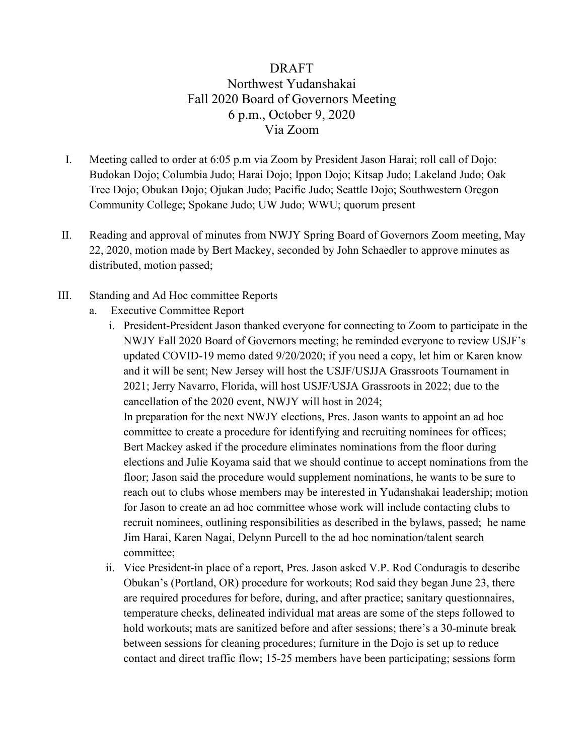# DRAFT Northwest Yudanshakai Fall 2020 Board of Governors Meeting 6 p.m., October 9, 2020 Via Zoom

- I. Meeting called to order at 6:05 p.m via Zoom by President Jason Harai; roll call of Dojo: Budokan Dojo; Columbia Judo; Harai Dojo; Ippon Dojo; Kitsap Judo; Lakeland Judo; Oak Tree Dojo; Obukan Dojo; Ojukan Judo; Pacific Judo; Seattle Dojo; Southwestern Oregon Community College; Spokane Judo; UW Judo; WWU; quorum present
- II. Reading and approval of minutes from NWJY Spring Board of Governors Zoom meeting, May 22, 2020, motion made by Bert Mackey, seconded by John Schaedler to approve minutes as distributed, motion passed;
- III. Standing and Ad Hoc committee Reports
	- a. Executive Committee Report
		- i. President-President Jason thanked everyone for connecting to Zoom to participate in the NWJY Fall 2020 Board of Governors meeting; he reminded everyone to review USJF's updated COVID-19 memo dated 9/20/2020; if you need a copy, let him or Karen know and it will be sent; New Jersey will host the USJF/USJJA Grassroots Tournament in 2021; Jerry Navarro, Florida, will host USJF/USJA Grassroots in 2022; due to the cancellation of the 2020 event, NWJY will host in 2024; In preparation for the next NWJY elections, Pres. Jason wants to appoint an ad hoc committee to create a procedure for identifying and recruiting nominees for offices;

Bert Mackey asked if the procedure eliminates nominations from the floor during elections and Julie Koyama said that we should continue to accept nominations from the floor; Jason said the procedure would supplement nominations, he wants to be sure to reach out to clubs whose members may be interested in Yudanshakai leadership; motion for Jason to create an ad hoc committee whose work will include contacting clubs to recruit nominees, outlining responsibilities as described in the bylaws, passed; he name Jim Harai, Karen Nagai, Delynn Purcell to the ad hoc nomination/talent search committee;

ii. Vice President-in place of a report, Pres. Jason asked V.P. Rod Conduragis to describe Obukan's (Portland, OR) procedure for workouts; Rod said they began June 23, there are required procedures for before, during, and after practice; sanitary questionnaires, temperature checks, delineated individual mat areas are some of the steps followed to hold workouts; mats are sanitized before and after sessions; there's a 30-minute break between sessions for cleaning procedures; furniture in the Dojo is set up to reduce contact and direct traffic flow; 15-25 members have been participating; sessions form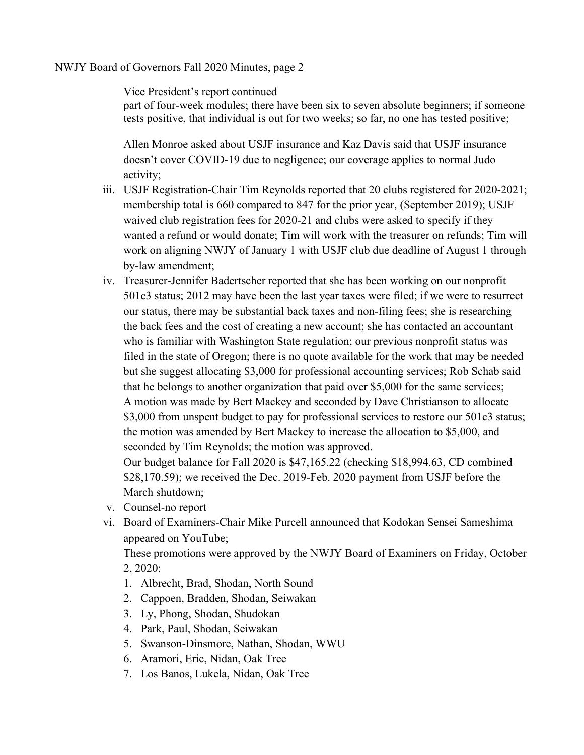#### NWJY Board of Governors Fall 2020 Minutes, page 2

Vice President's report continued

part of four-week modules; there have been six to seven absolute beginners; if someone tests positive, that individual is out for two weeks; so far, no one has tested positive;

Allen Monroe asked about USJF insurance and Kaz Davis said that USJF insurance doesn't cover COVID-19 due to negligence; our coverage applies to normal Judo activity;

- iii. USJF Registration-Chair Tim Reynolds reported that 20 clubs registered for 2020-2021; membership total is 660 compared to 847 for the prior year, (September 2019); USJF waived club registration fees for 2020-21 and clubs were asked to specify if they wanted a refund or would donate; Tim will work with the treasurer on refunds; Tim will work on aligning NWJY of January 1 with USJF club due deadline of August 1 through by-law amendment;
- iv. Treasurer-Jennifer Badertscher reported that she has been working on our nonprofit 501c3 status; 2012 may have been the last year taxes were filed; if we were to resurrect our status, there may be substantial back taxes and non-filing fees; she is researching the back fees and the cost of creating a new account; she has contacted an accountant who is familiar with Washington State regulation; our previous nonprofit status was filed in the state of Oregon; there is no quote available for the work that may be needed but she suggest allocating \$3,000 for professional accounting services; Rob Schab said that he belongs to another organization that paid over \$5,000 for the same services; A motion was made by Bert Mackey and seconded by Dave Christianson to allocate \$3,000 from unspent budget to pay for professional services to restore our 501c3 status; the motion was amended by Bert Mackey to increase the allocation to \$5,000, and seconded by Tim Reynolds; the motion was approved.

Our budget balance for Fall 2020 is \$47,165.22 (checking \$18,994.63, CD combined \$28,170.59); we received the Dec. 2019-Feb. 2020 payment from USJF before the March shutdown;

- v. Counsel-no report
- vi. Board of Examiners-Chair Mike Purcell announced that Kodokan Sensei Sameshima appeared on YouTube;

These promotions were approved by the NWJY Board of Examiners on Friday, October 2, 2020:

- 1. Albrecht, Brad, Shodan, North Sound
- 2. Cappoen, Bradden, Shodan, Seiwakan
- 3. Ly, Phong, Shodan, Shudokan
- 4. Park, Paul, Shodan, Seiwakan
- 5. Swanson-Dinsmore, Nathan, Shodan, WWU
- 6. Aramori, Eric, Nidan, Oak Tree
- 7. Los Banos, Lukela, Nidan, Oak Tree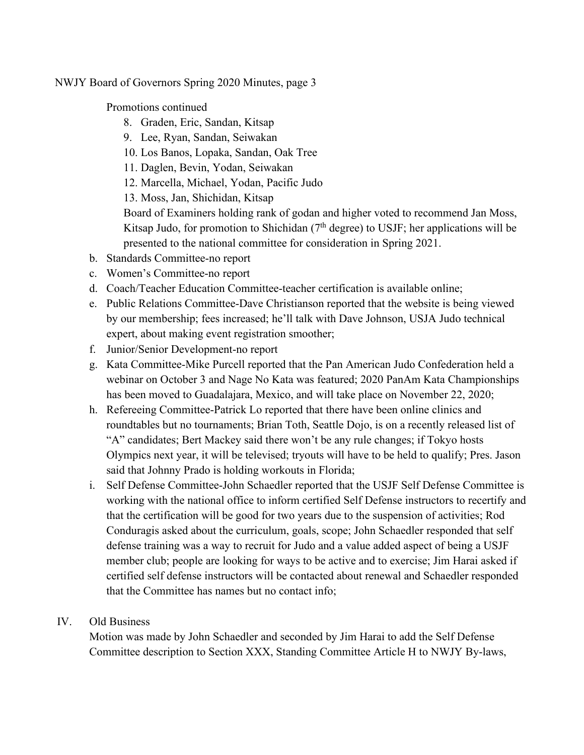NWJY Board of Governors Spring 2020 Minutes, page 3

Promotions continued

- 8. Graden, Eric, Sandan, Kitsap
- 9. Lee, Ryan, Sandan, Seiwakan
- 10. Los Banos, Lopaka, Sandan, Oak Tree
- 11. Daglen, Bevin, Yodan, Seiwakan
- 12. Marcella, Michael, Yodan, Pacific Judo
- 13. Moss, Jan, Shichidan, Kitsap

Board of Examiners holding rank of godan and higher voted to recommend Jan Moss, Kitsap Judo, for promotion to Shichidan  $(7<sup>th</sup>$  degree) to USJF; her applications will be presented to the national committee for consideration in Spring 2021.

- b. Standards Committee-no report
- c. Women's Committee-no report
- d. Coach/Teacher Education Committee-teacher certification is available online;
- e. Public Relations Committee-Dave Christianson reported that the website is being viewed by our membership; fees increased; he'll talk with Dave Johnson, USJA Judo technical expert, about making event registration smoother;
- f. Junior/Senior Development-no report
- g. Kata Committee-Mike Purcell reported that the Pan American Judo Confederation held a webinar on October 3 and Nage No Kata was featured; 2020 PanAm Kata Championships has been moved to Guadalajara, Mexico, and will take place on November 22, 2020;
- h. Refereeing Committee-Patrick Lo reported that there have been online clinics and roundtables but no tournaments; Brian Toth, Seattle Dojo, is on a recently released list of "A" candidates; Bert Mackey said there won't be any rule changes; if Tokyo hosts Olympics next year, it will be televised; tryouts will have to be held to qualify; Pres. Jason said that Johnny Prado is holding workouts in Florida;
- i. Self Defense Committee-John Schaedler reported that the USJF Self Defense Committee is working with the national office to inform certified Self Defense instructors to recertify and that the certification will be good for two years due to the suspension of activities; Rod Conduragis asked about the curriculum, goals, scope; John Schaedler responded that self defense training was a way to recruit for Judo and a value added aspect of being a USJF member club; people are looking for ways to be active and to exercise; Jim Harai asked if certified self defense instructors will be contacted about renewal and Schaedler responded that the Committee has names but no contact info;

# IV. Old Business

Motion was made by John Schaedler and seconded by Jim Harai to add the Self Defense Committee description to Section XXX, Standing Committee Article H to NWJY By-laws,